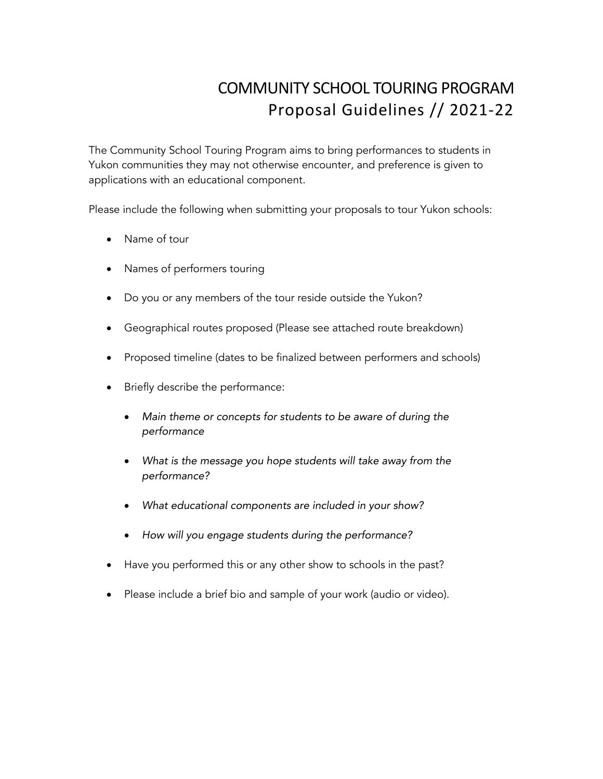## COMMUNITY SCHOOL TOURING PROGRAM Proposal Guidelines // 2021-22

The Community School Touring Program aims to bring performances to students in Yukon communities they may not otherwise encounter, and preference is given to applications with an educational component.

Please include the following when submitting your proposals to tour Yukon schools:

- Name of tour
- Names of performers touring
- Do you or any members of the tour reside outside the Yukon?
- Geographical routes proposed (Please see attached route breakdown)
- Proposed timeline (dates to be finalized between performers and schools)
- Briefly describe the performance:
	- *Main theme or concepts for students to be aware of during the performance*
	- *What is the message you hope students will take away from the performance?*
	- *What educational components are included in your show?*
	- *How will you engage students during the performance?*
- Have you performed this or any other show to schools in the past?
- Please include a brief bio and sample of your work (audio or video).